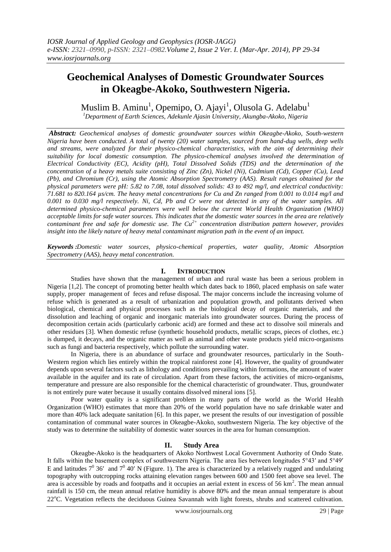# **Geochemical Analyses of Domestic Groundwater Sources in Okeagbe-Akoko, Southwestern Nigeria.**

Muslim B. Aminu<sup>1</sup>, Opemipo, O. Ajayi<sup>1</sup>, Olusola G. Adelabu<sup>1</sup>

*<sup>1</sup>Department of Earth Sciences, Adekunle Ajasin University, Akungba-Akoko, Nigeria*

*Abstract: Geochemical analyses of domestic groundwater sources within Okeagbe-Akoko, South-western Nigeria have been conducted. A total of twenty (20) water samples, sourced from hand-dug wells, deep wells and streams, were analyzed for their physico-chemical characteristics, with the aim of determining their suitability for local domestic consumption. The physico-chemical analyses involved the determination of Electrical Conductivity (EC), Acidity (pH), Total Dissolved Solids (TDS) and the determination of the concentration of a heavy metals suite consisting of Zinc (Zn), Nickel (Ni), Cadmium (Cd), Copper (Cu), Lead (Pb), and Chromium (Cr), using the Atomic Absorption Spectrometry (AAS). Result ranges obtained for the physical parameters were pH: 5.82 to 7.08, total dissolved solids: 43 to 492 mg/l, and electrical conductivity: 71.681 to 820.164 µs/cm. The heavy metal concentrations for Cu and Zn ranged from 0.001 to 0.014 mg/l and 0.001 to 0.030 mg/l respectively. Ni, Cd, Pb and Cr were not detected in any of the water samples. All determined physico-chemical parameters were well below the current World Health Organization (WHO) acceptable limits for safe water sources. This indicates that the domestic water sources in the area are relatively contaminant free and safe for domestic use. The Cu2+ concentration distribution pattern however, provides insight into the likely nature of heavy metal contaminant migration path in the event of an impact.*

*Keywords :Domestic water sources, physico-chemical properties, water quality, Atomic Absorption Spectrometry (AAS), heavy metal concentration.*

## **I. INTRODUCTION**

Studies have shown that the management of urban and rural waste has been a serious problem in Nigeria [1,2]. The concept of promoting better health which dates back to 1860, placed emphasis on safe water supply, proper management of feces and refuse disposal. The major concerns include the increasing volume of refuse which is generated as a result of urbanization and population growth, and pollutants derived when biological, chemical and physical processes such as the biological decay of organic materials, and the dissolution and leaching of organic and inorganic materials into groundwater sources. During the process of decomposition certain acids (particularly carbonic acid) are formed and these act to dissolve soil minerals and other residues [3]. When domestic refuse (synthetic household products, metallic scraps, pieces of clothes, etc.) is dumped, it decays, and the organic matter as well as animal and other waste products yield micro-organisms such as fungi and bacteria respectively, which pollute the surrounding water.

In Nigeria, there is an abundance of surface and groundwater resources, particularly in the South-Western region which lies entirely within the tropical rainforest zone [4]. However, the quality of groundwater depends upon several factors such as lithology and conditions prevailing within formations, the amount of water available in the aquifer and its rate of circulation. Apart from these factors, the activities of micro-organisms, temperature and pressure are also responsible for the chemical characteristic of groundwater. Thus, groundwater is not entirely pure water because it usually contains dissolved mineral ions [5].

Poor water quality is a significant problem in many parts of the world as the World Health Organization (WHO) estimates that more than 20% of the world population have no safe drinkable water and more than 40% lack adequate sanitation [6]. In this paper, we present the results of our investigation of possible contamination of communal water sources in Okeagbe-Akoko, southwestern Nigeria. The key objective of the study was to determine the suitability of domestic water sources in the area for human consumption.

### **II. Study Area**

Okeagbe-Akoko is the headquarters of Akoko Northwest Local Government Authority of Ondo State. It falls within the basement complex of southwestern Nigeria. The area lies between longitudes 5°43′ and 5°49′ E and latitudes  $7^0$  36' and  $7^0$  40' N (Figure. 1). The area is characterized by a relatively rugged and undulating topography with outcropping rocks attaining elevation ranges between 600 and 1500 feet above sea level. The area is accessible by roads and footpaths and it occupies an aerial extent in excess of 56  $\text{km}^2$ . The mean annual rainfall is 150 cm, the mean annual relative humidity is above 80% and the mean annual temperature is about 22C. Vegetation reflects the deciduous Guinea Savannah with light forests, shrubs and scattered cultivation.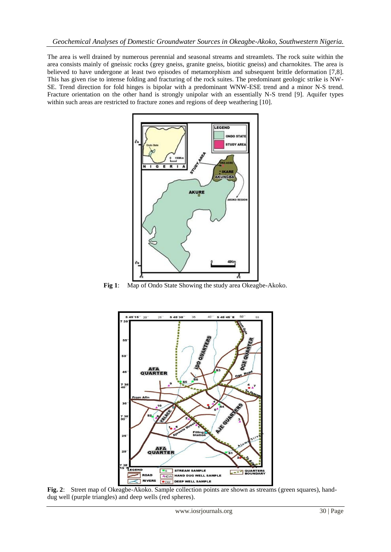The area is well drained by numerous perennial and seasonal streams and streamlets. The rock suite within the area consists mainly of gneissic rocks (grey gneiss, granite gneiss, biotitic gneiss) and charnokites. The area is believed to have undergone at least two episodes of metamorphism and subsequent brittle deformation [7,8]. This has given rise to intense folding and fracturing of the rock suites. The predominant geologic strike is NW-SE. Trend direction for fold hinges is bipolar with a predominant WNW-ESE trend and a minor N-S trend. Fracture orientation on the other hand is strongly unipolar with an essentially N-S trend [9]. Aquifer types within such areas are restricted to fracture zones and regions of deep weathering [10].



**Fig 1**: Map of Ondo State Showing the study area Okeagbe-Akoko.



**Fig. 2**: Street map of Okeagbe-Akoko. Sample collection points are shown as streams (green squares), handdug well (purple triangles) and deep wells (red spheres).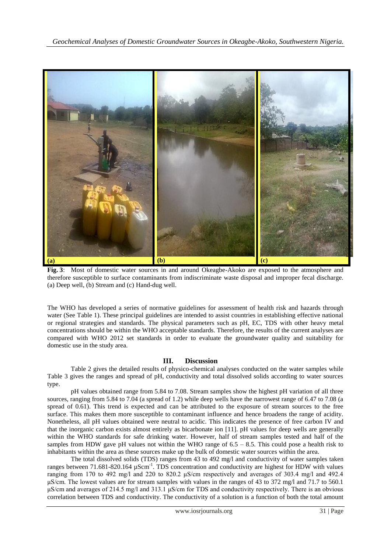

**Fig. 3**: Most of domestic water sources in and around Okeagbe-Akoko are exposed to the atmosphere and therefore susceptible to surface contaminants from indiscriminate waste disposal and improper fecal discharge. (a) Deep well, (b) Stream and (c) Hand-dug well.

The WHO has developed a series of normative guidelines for assessment of health risk and hazards through water (See Table 1). These principal guidelines are intended to assist countries in establishing effective national or regional strategies and standards. The physical parameters such as pH, EC, TDS with other heavy metal concentrations should be within the WHO acceptable standards. Therefore, the results of the current analyses are compared with WHO 2012 set standards in order to evaluate the groundwater quality and suitability for domestic use in the study area.

### **III. Discussion**

Table 2 gives the detailed results of physico-chemical analyses conducted on the water samples while Table 3 gives the ranges and spread of pH, conductivity and total dissolved solids according to water sources type.

pH values obtained range from 5.84 to 7.08. Stream samples show the highest pH variation of all three sources, ranging from 5.84 to 7.04 (a spread of 1.2) while deep wells have the narrowest range of 6.47 to 7.08 (a spread of 0.61). This trend is expected and can be attributed to the exposure of stream sources to the free surface. This makes them more susceptible to contaminant influence and hence broadens the range of acidity. Nonetheless, all pH values obtained were neutral to acidic. This indicates the presence of free carbon IV and that the inorganic carbon exists almost entirely as bicarbonate ion [11]. pH values for deep wells are generally within the WHO standards for safe drinking water. However, half of stream samples tested and half of the samples from HDW gave pH values not within the WHO range of 6.5 – 8.5. This could pose a health risk to inhabitants within the area as these sources make up the bulk of domestic water sources within the area.

The total dissolved solids (TDS) ranges from 43 to 492 mg/l and conductivity of water samples taken ranges between 71.681-820.164  $\mu$ Scm<sup>-1</sup>. TDS concentration and conductivity are highest for HDW with values ranging from 170 to 492 mg/l and 220 to 820.2 μS/cm respectively and averages of 303.4 mg/l and 492.4 μS/cm. The lowest values are for stream samples with values in the ranges of 43 to 372 mg/l and 71.7 to 560.1 μS/cm and averages of 214.5 mg/l and 313.1 μS/cm for TDS and conductivity respectively. There is an obvious correlation between TDS and conductivity. The conductivity of a solution is a function of both the total amount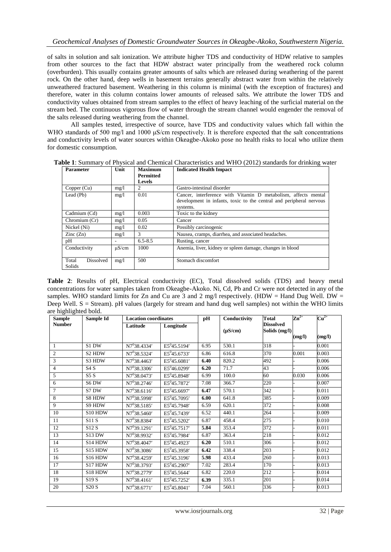of salts in solution and salt ionization. We attribute higher TDS and conductivity of HDW relative to samples from other sources to the fact that HDW abstract water principally from the weathered rock column (overburden). This usually contains greater amounts of salts which are released during weathering of the parent rock. On the other hand, deep wells in basement terrains generally abstract water from within the relatively unweathered fractured basement. Weathering in this column is minimal (with the exception of fractures) and therefore, water in this column contains lower amounts of released salts. We attribute the lower TDS and conductivity values obtained from stream samples to the effect of heavy leaching of the surficial material on the stream bed. The continuous vigorous flow of water through the stream channel would engender the removal of the salts released during weathering from the channel.

All samples tested, irrespective of source, have TDS and conductivity values which fall within the WHO standards of 500 mg/l and 1000 μS/cm respectively. It is therefore expected that the salt concentrations and conductivity levels of water sources within Okeagbe-Akoko pose no health risks to local who utilize them for domestic consumption.

| <b>Parameter</b>             | Unit                  | Maximum          | <b>Indicated Health Impact</b>                                                                                                        |  |  |  |  |
|------------------------------|-----------------------|------------------|---------------------------------------------------------------------------------------------------------------------------------------|--|--|--|--|
|                              |                       | <b>Permitted</b> |                                                                                                                                       |  |  |  |  |
|                              |                       | <b>Levels</b>    |                                                                                                                                       |  |  |  |  |
| Copper (Cu)                  | mg/1                  | 2                | Gastro-intestinal disorder                                                                                                            |  |  |  |  |
| Lead (Pb)                    | mg/1                  | 0.01             | Cancer, interference with Vitamin D metabolism, affects mental<br>development in infants, toxic to the central and peripheral nervous |  |  |  |  |
|                              |                       |                  | systems.                                                                                                                              |  |  |  |  |
| Cadmium (Cd)                 | mg/1                  | 0.003            | Toxic to the kidney                                                                                                                   |  |  |  |  |
| Chromium $(Cr)$              | mg/1                  | 0.05             | Cancer                                                                                                                                |  |  |  |  |
| Nickel (Ni)                  | mg/1                  | 0.02             | Possibly carcinogenic                                                                                                                 |  |  |  |  |
| $\text{Zinc}(\text{Zn})$     | $\mathcal{F}$<br>mg/1 |                  | Nausea, cramps, diarrhea, and associated headaches.                                                                                   |  |  |  |  |
| pH                           |                       | $6.5 - 8.5$      | Rusting, cancer                                                                                                                       |  |  |  |  |
| Conductivity                 | $\mu$ S/cm            | 1000             | Anemia, liver, kidney or spleen damage, changes in blood                                                                              |  |  |  |  |
| Dissolved<br>Total<br>Solids | mg/1                  | 500              | Stomach discomfort                                                                                                                    |  |  |  |  |

**Table 1**: Summary of Physical and Chemical Characteristics and WHO (2012) standards for drinking water

**Table 2**: Results of pH, Electrical conductivity (EC), Total dissolved solids (TDS) and heavy metal concentrations for water samples taken from Okeagbe-Akoko. Ni, Cd, Pb and Cr were not detected in any of the samples. WHO standard limits for Zn and Cu are 3 and 2 mg/l respectively. (HDW = Hand Dug Well. DW = Deep Well. S = Stream). pH values (largely for stream and hand dug well samples) not within the WHO limits are highlighted bold.

| <b>Sample</b>  | Sample Id                       |                          | <b>Location coordinates</b> |      | Conductivity | <b>Total</b>                      | $\mathbf{Zn}^{2+}$ | $Cu2+$ |
|----------------|---------------------------------|--------------------------|-----------------------------|------|--------------|-----------------------------------|--------------------|--------|
| <b>Number</b>  |                                 | Latitude                 | Longitude                   |      | $(\mu S/cm)$ | <b>Dissolved</b><br>Solids (mg/l) |                    |        |
|                |                                 |                          |                             |      |              |                                   | (mg/l)             | (mg/l) |
| -1             | S1 DW                           | N7 <sup>0</sup> 38.4334' | E5 <sup>0</sup> 45.5194'    | 6.95 | 530.1        | 318                               |                    | 0.001  |
| $\overline{2}$ | S <sub>2</sub> H <sub>D</sub> W | N7 <sup>0</sup> 38.5324' | $E5^{0}45.6733'$            | 6.86 | 616.8        | 370                               | 0.001              | 0.003  |
| 3              | S3 HDW                          | N7 <sup>0</sup> 38.4463' | E5 <sup>0</sup> 45.6081'    | 6.40 | 820.2        | 492                               |                    | 0.006  |
| $\overline{4}$ | S4S                             | N7 <sup>0</sup> 38.3306' | $E5^{0}46.0299'$            | 6.20 | 71.7         | 43                                |                    | 0.006  |
| 5              | S5S                             | $N7^{0}38.0473'$         | $E5^{0}45.8948'$            | 6.99 | 100.0        | 60                                | 0.030              | 0.006  |
| 6              | S6 DW                           | $N7^{0}38.2746'$         | E5 <sup>0</sup> 45.7872'    | 7.08 | 366.7        | 220                               |                    | 0.007  |
| $\overline{7}$ | S7 DW                           | $N7^{0}38.6116'$         | $E5^{0}45.6697'$            | 6.47 | 570.1        | 342                               |                    | 0.011  |
| 8              | S8 HDW                          | N7 <sup>0</sup> 38.5998' | E5 <sup>0</sup> 45.7095'    | 6.00 | 641.8        | 385                               |                    | 0.009  |
| 9              | S9 HDW                          | $N7^{0}38.5185'$         | $E5^{0}45.7948'$            | 6.59 | 620.1        | 372                               |                    | 0.008  |
| 10             | S10 HDW                         | $N7^{0}38.5460'$         | $E5^{0}45.7439'$            | 6.52 | 440.1        | 264                               |                    | 0.009  |
| 11             | S11 S                           | N7 <sup>0</sup> 38.8384' | E5 <sup>0</sup> 45.5202'    | 6.87 | 458.4        | 275                               |                    | 0.010  |
| 12             | S12S                            | $N7^{0}39.1291'$         | $\overline{E5}^{0}45.7517'$ | 5.84 | 353.4        | 372                               |                    | 0.011  |
| 13             | S <sub>13</sub> DW              | N7 <sup>0</sup> 38.9932' | E5 <sup>0</sup> 45.7984'    | 6.87 | 363.4        | 218                               |                    | 0.012  |
| 14             | S <sub>14</sub> HDW             | N7 <sup>0</sup> 38.4047' | E5 <sup>0</sup> 45.4923'    | 6.20 | 510.1        | 306                               |                    | 0.012  |
| 15             | S15 HDW                         | $N7^{0}38.3086'$         | $E5^{0}45.3958'$            | 6.42 | 338.4        | 203                               |                    | 0.012  |
| 16             | S <sub>16</sub> HDW             | N7 <sup>0</sup> 38.4259' | E5 <sup>0</sup> 45.3196'    | 5.98 | 433.4        | 260                               |                    | 0.013  |
| 17             | S17 HDW                         | N7 <sup>0</sup> 38.3793' | E5 <sup>0</sup> 45.2907'    | 7.02 | 283.4        | 170                               |                    | 0.013  |
| 18             | S18 HDW                         | N7 <sup>0</sup> 38.2779' | E5 <sup>0</sup> 45.5644'    | 6.82 | 220.0        | 212                               |                    | 0.014  |
| 19             | S <sub>19</sub> S               | $N7^{0}38.4161'$         | E5 <sup>0</sup> 45.7252'    | 6.39 | 335.1        | 201                               |                    | 0.014  |
| 20             | S20S                            | $N7^{0}38.6771'$         | E5 <sup>0</sup> 45.8041'    | 7.04 | 560.1        | 336                               |                    | 0.013  |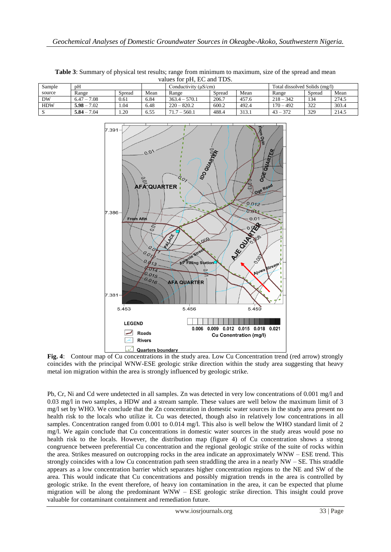| values for pri, LC and TDS. |               |        |      |                      |        |       |                               |        |       |  |  |
|-----------------------------|---------------|--------|------|----------------------|--------|-------|-------------------------------|--------|-------|--|--|
| Sample                      | pH            |        |      | Conductivity (uS/cm) |        |       | Total dissolved Solids (mg/l) |        |       |  |  |
| source                      | Range         | Spread | Mean | Range                | Spread | Mean  | Range                         | Spread | Mean  |  |  |
| <b>DW</b>                   | $6.47 - 7.08$ | 0.61   | 6.84 | $363.4 - 570.1$      | 206.7  | 457.6 | $218 - 342$                   | 134    | 274.5 |  |  |
| <b>HDW</b>                  | $5.98 - 7.02$ | .04    | 6.48 | $220 - 820.2$        | 600.2  | 492.4 | $170 - 492$                   | 322    | 303.4 |  |  |
|                             | $5.84 - 7.04$ | .20    | 6.55 | $71.7 - 560.1$       | 488.4  | 313.1 | $43 - 372$                    | 329    | 214.5 |  |  |

**Table 3**: Summary of physical test results; range from minimum to maximum, size of the spread and mean values for pH, EC and TDS.



**Fig. 4**: Contour map of Cu concentrations in the study area. Low Cu Concentration trend (red arrow) strongly coincides with the principal WNW-ESE geologic strike direction within the study area suggesting that heavy metal ion migration within the area is strongly influenced by geologic strike.

Pb, Cr, Ni and Cd were undetected in all samples. Zn was detected in very low concentrations of 0.001 mg/l and 0.03 mg/l in two samples, a HDW and a stream sample. These values are well below the maximum limit of 3 mg/l set by WHO. We conclude that the Zn concentration in domestic water sources in the study area present no health risk to the locals who utilize it. Cu was detected, though also in relatively low concentrations in all samples. Concentration ranged from 0.001 to 0.014 mg/l. This also is well below the WHO standard limit of 2 mg/l. We again conclude that Cu concentrations in domestic water sources in the study areas would pose no health risk to the locals. However, the distribution map (figure 4) of Cu concentration shows a strong congruence between preferential Cu concentration and the regional geologic strike of the suite of rocks within the area. Strikes measured on outcropping rocks in the area indicate an approximately WNW – ESE trend. This strongly coincides with a low Cu concentration path seen straddling the area in a nearly NW – SE. This straddle appears as a low concentration barrier which separates higher concentration regions to the NE and SW of the area. This would indicate that Cu concentrations and possibly migration trends in the area is controlled by geologic strike. In the event therefore, of heavy ion contamination in the area, it can be expected that plume migration will be along the predominant WNW – ESE geologic strike direction. This insight could prove valuable for contaminant containment and remediation future.